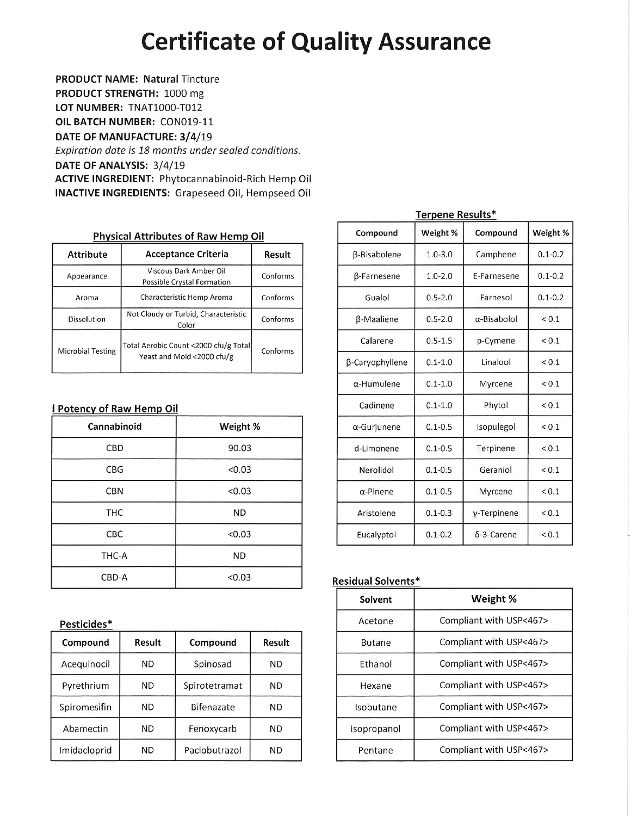# **Certificate of Quality Assurance**

**PRODUCT NAME: Natural Tincture** 

PRODUCT STRENGTH: 1000 mg

LOT NUMBER: TNAT1000-T012

OIL BATCH NUMBER: CON019-11

DATE OF MANUFACTURE: 3/4/19

Expiration date is 18 months under sealed conditions. DATE OF ANALYSIS: 3/4/19 **ACTIVE INGREDIENT: Phytocannabinoid-Rich Hemp Oil** 

INACTIVE INGREDIENTS: Grapeseed Oil, Hempseed Oil

# **Physical Attributes of Raw Hemp Oil**

| <b>Attribute</b>         | <b>Acceptance Criteria</b>                                          |          |  |  |  |
|--------------------------|---------------------------------------------------------------------|----------|--|--|--|
| Appearance               | Viscous Dark Amber Oil<br>Possible Crystal Formation                |          |  |  |  |
| Aroma                    | Characteristic Hemp Aroma                                           | Conforms |  |  |  |
| <b>Dissolution</b>       | Not Cloudy or Turbid, Characteristic<br>Color                       | Conforms |  |  |  |
| <b>Microbial Testing</b> | Total Aerobic Count <2000 cfu/g Total<br>Yeast and Mold <2000 cfu/g | Conforms |  |  |  |

## I Potency of Raw Hemp Oil

| Cannabinoid | Weight %  |
|-------------|-----------|
| CBD         | 90.03     |
| CBG         | < 0.03    |
| <b>CBN</b>  | < 0.03    |
| <b>THC</b>  | <b>ND</b> |
| CBC         | < 0.03    |
| THC-A       | <b>ND</b> |
| CBD-A       | < 0.03    |

# Pesticides\*

| Compound     | Result    | Compound      | Result    |
|--------------|-----------|---------------|-----------|
| Acequinocil  | ND        | Spinosad      | ND        |
| Pyrethrium   | <b>ND</b> | Spirotetramat | <b>ND</b> |
| Spiromesifin | <b>ND</b> | Bifenazate    | ND        |
| Abamectin    | <b>ND</b> | Fenoxycarb    | ND        |
| Imidacloprid | <b>ND</b> | Paclobutrazol | ND        |

| Compound           | Weight %    | Compound            | Weight %    |
|--------------------|-------------|---------------------|-------------|
| β-Bisabolene       | $1.0 - 3.0$ | Camphene            | $0.1 - 0.2$ |
| <b>B-Farnesene</b> | $1.0 - 2.0$ | E-Farnesene         | $0.1 - 0.2$ |
| Gualol             | $0.5 - 2.0$ | Farnesol            | $0.1 - 0.2$ |
| β-Maaliene         | $0.5 - 2.0$ | $\alpha$ -Bisabolol | ${}_{0.1}$  |
| Calarene           | $0.5 - 1.5$ | p-Cymene            | ${}_{0.1}$  |
| β-Caryophyllene    | $0.1 - 1.0$ | Linalool            | < 0.1       |
| $\alpha$ -Humulene | $0.1 - 1.0$ | Myrcene             | ${}_{0.1}$  |
| Cadinene           | $0.1 - 1.0$ | Phytol              | < 0.1       |
| α-Gurjunene        | $0.1 - 0.5$ | Isopulegol          | < 0.1       |
| d-Limonene         | $0.1 - 0.5$ | Terpinene           | < 0.1       |
| Nerolidol          | $0.1 - 0.5$ | Geranio             | < 0.1       |
| $\alpha$ -Pinene   | $0.1 - 0.5$ | Myrcene             | ${}_{0.1}$  |
| Aristolene         | $0.1 - 0.3$ | y-Terpinene         | ${}_{0.1}$  |
| Eucalyptol         | $0.1 - 0.2$ | $\delta$ -3-Carene  | ${}_{0.1}$  |

# Terpene Results\*

### **Residual Solvents\***

| Solvent       | Weight %                |
|---------------|-------------------------|
| Acetone       | Compliant with USP<467> |
| <b>Butane</b> | Compliant with USP<467> |
| Ethanol       | Compliant with USP<467> |
| Hexane        | Compliant with USP<467> |
| Isobutane     | Compliant with USP<467> |
| Isopropanol   | Compliant with USP<467> |
| Pentane       | Compliant with USP<467> |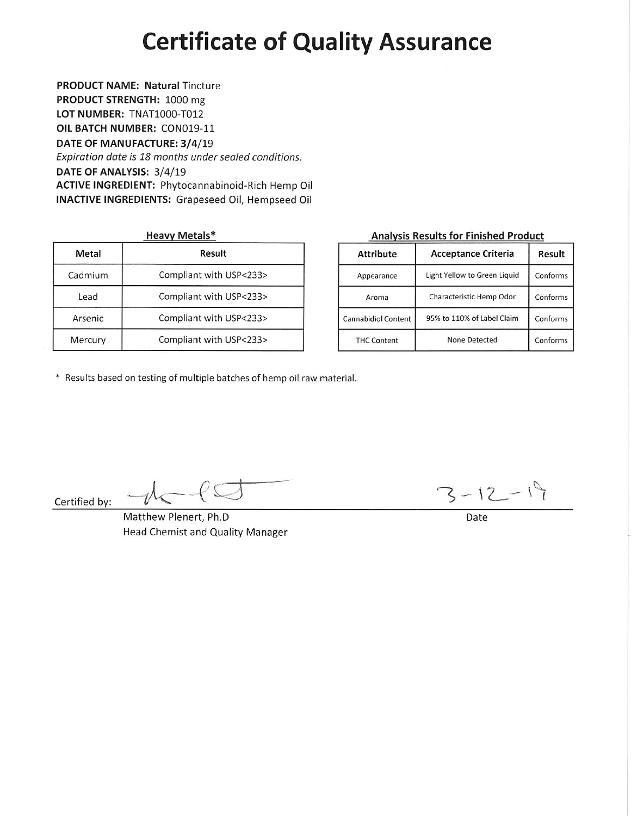# **Certificate of Quality Assurance**

# **PRODUCT NAME: Natural Tincture**

PRODUCT STRENGTH: 1000 mg

LOT NUMBER: TNAT1000-T012 OIL BATCH NUMBER: CON019-11

DATE OF MANUFACTURE: 3/4/19

Expiration date is 18 months under sealed conditions. DATE OF ANALYSIS: 3/4/19 **ACTIVE INGREDIENT: Phytocannabinoid-Rich Hemp Oil INACTIVE INGREDIENTS: Grapeseed Oil, Hempseed Oil** 

**Heavy Metals\*** 

| Metal   | Result                  |
|---------|-------------------------|
| Cadmium | Compliant with USP<233> |
| Lead    | Compliant with USP<233> |
| Arsenic | Compliant with USP<233> |
| Mercury | Compliant with USP<233> |

# **Analysis Results for Finished Product**

| <b>Attribute</b>           | <b>Acceptance Criteria</b>   | Result   |
|----------------------------|------------------------------|----------|
| Appearance                 | Light Yellow to Green Liquid | Conforms |
| Aroma                      | Characteristic Hemp Odor     | Conforms |
| <b>Cannabidiol Content</b> | 95% to 110% of Label Claim   | Conforms |
| <b>THC Content</b>         | None Detected                | Conforms |

\* Results based on testing of multiple batches of hemp oil raw material.

Certified by:

Matthew Plenert, Ph.D Head Chemist and Quality Manager

 $-\ell$ 

 $3 - 12 - 19$ 

Date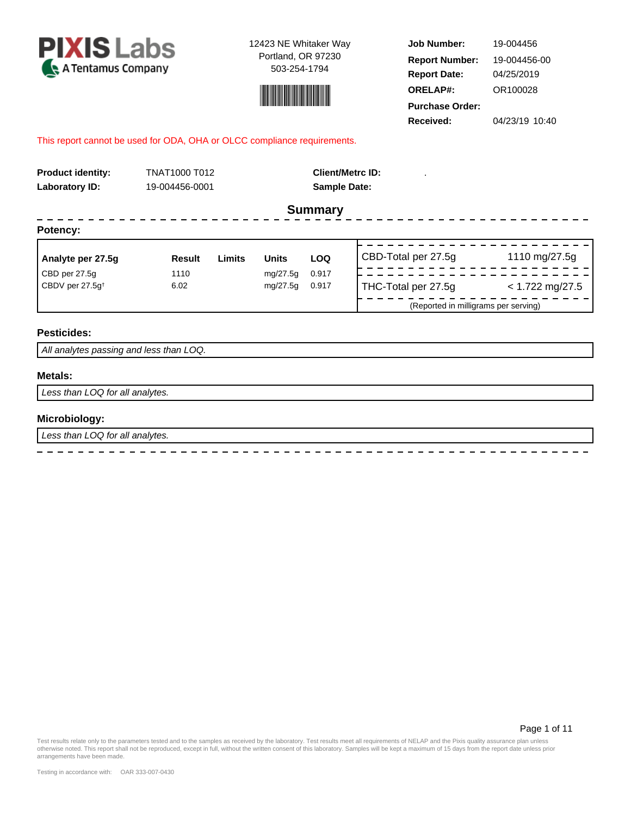



**Job Number: Report Date: ORELAP#:** 04/25/2019 OR100028 **Received:** 04/23/19 10:40 **Purchase Order:** 19-004456 **Report Number:** 19-004456-00

#### This report cannot be used for ODA, OHA or OLCC compliance requirements.

| <b>Product identity:</b>    |                | TNAT1000 T012 |                     |                | <b>Client/Metrc ID:</b>              |                   |  |  |  |
|-----------------------------|----------------|---------------|---------------------|----------------|--------------------------------------|-------------------|--|--|--|
| Laboratory ID:              | 19-004456-0001 |               | <b>Sample Date:</b> |                |                                      |                   |  |  |  |
|                             |                |               |                     | <b>Summary</b> |                                      |                   |  |  |  |
| Potency:                    |                |               |                     |                |                                      |                   |  |  |  |
| Analyte per 27.5g           | <b>Result</b>  | <b>Limits</b> | <b>Units</b>        | <b>LOQ</b>     | CBD-Total per 27.5g                  | 1110 mg/27.5g     |  |  |  |
| CBD per 27.5g               | 1110           |               | mg/27.5g            | 0.917          |                                      |                   |  |  |  |
| CBDV per 27.5q <sup>t</sup> | 6.02           |               | mg/27.5g            | 0.917          | THC-Total per 27.5g                  | $< 1.722$ mg/27.5 |  |  |  |
|                             |                |               |                     |                | (Reported in milligrams per serving) |                   |  |  |  |
| <b>Pesticides:</b>          |                |               |                     |                |                                      |                   |  |  |  |

 $\overline{a}$ 

 $\overline{a}$ 

All analytes passing and less than LOQ.

 $\sim$ 

 $\equiv$  $\overline{a}$  $\overline{a}$  $\overline{a}$  $\overline{a}$ 

#### **Metals:**

Less than LOQ for all analytes.

### **Microbiology:**

Less than LOQ for all analytes.

Page 1 of 11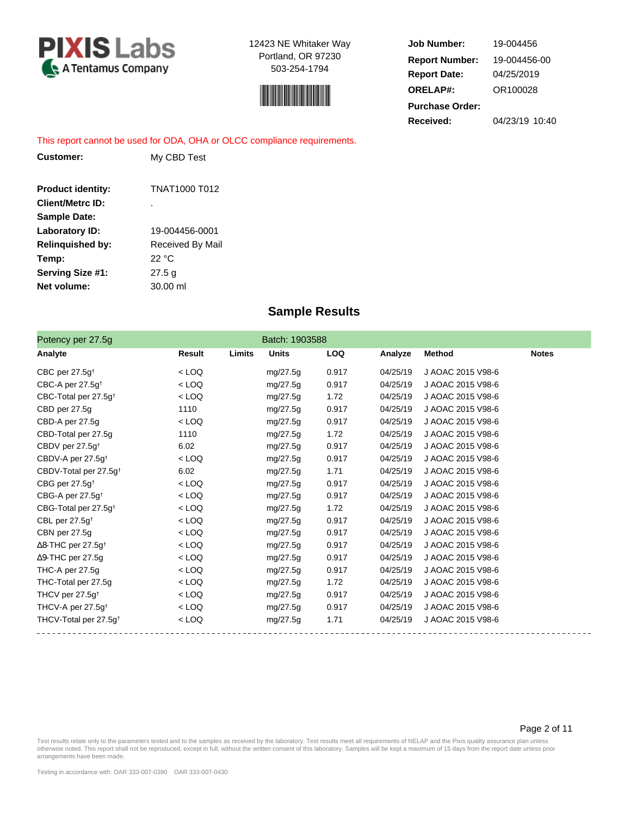



**Job Number: Report Date: ORELAP#:** 04/25/2019 OR100028 **Received:** 04/23/19 10:40 **Purchase Order:** 19-004456 **Report Number:** 19-004456-00

This report cannot be used for ODA, OHA or OLCC compliance requirements.

| Customer:                | My CBD Test        |
|--------------------------|--------------------|
|                          |                    |
| <b>Product identity:</b> | TNAT1000 T012      |
| <b>Client/Metrc ID:</b>  |                    |
| <b>Sample Date:</b>      |                    |
| Laboratory ID:           | 19-004456-0001     |
| <b>Relinguished by:</b>  | Received By Mail   |
| Temp:                    | 22 °C              |
| <b>Serving Size #1:</b>  | 27.5 g             |
| Net volume:              | $30.00 \text{ ml}$ |

# **Sample Results**

| Potency per 27.5g                     |         |        | Batch: 1903588 |            |          |                   |              |
|---------------------------------------|---------|--------|----------------|------------|----------|-------------------|--------------|
| Analyte                               | Result  | Limits | <b>Units</b>   | <b>LOQ</b> | Analyze  | <b>Method</b>     | <b>Notes</b> |
| CBC per $27.5q^+$                     | $<$ LOQ |        | mg/27.5g       | 0.917      | 04/25/19 | J AOAC 2015 V98-6 |              |
| CBC-A per 27.5 $q^{\dagger}$          | $<$ LOQ |        | mg/27.5g       | 0.917      | 04/25/19 | J AOAC 2015 V98-6 |              |
| CBC-Total per 27.5g <sup>+</sup>      | $<$ LOQ |        | mg/27.5g       | 1.72       | 04/25/19 | J AOAC 2015 V98-6 |              |
| CBD per 27.5g                         | 1110    |        | mg/27.5g       | 0.917      | 04/25/19 | J AOAC 2015 V98-6 |              |
| CBD-A per 27.5g                       | $<$ LOQ |        | mg/27.5g       | 0.917      | 04/25/19 | J AOAC 2015 V98-6 |              |
| CBD-Total per 27.5g                   | 1110    |        | mg/27.5g       | 1.72       | 04/25/19 | J AOAC 2015 V98-6 |              |
| CBDV per 27.5g <sup>t</sup>           | 6.02    |        | mg/27.5g       | 0.917      | 04/25/19 | J AOAC 2015 V98-6 |              |
| CBDV-A per 27.5g <sup>t</sup>         | $<$ LOQ |        | mg/27.5g       | 0.917      | 04/25/19 | J AOAC 2015 V98-6 |              |
| CBDV-Total per 27.5q <sup>t</sup>     | 6.02    |        | mg/27.5g       | 1.71       | 04/25/19 | J AOAC 2015 V98-6 |              |
| CBG per 27.5g <sup>t</sup>            | $<$ LOQ |        | mg/27.5g       | 0.917      | 04/25/19 | J AOAC 2015 V98-6 |              |
| CBG-A per $27.5g^{\dagger}$           | $<$ LOQ |        | mg/27.5g       | 0.917      | 04/25/19 | J AOAC 2015 V98-6 |              |
| CBG-Total per 27.5g <sup>+</sup>      | $<$ LOQ |        | mg/27.5g       | 1.72       | 04/25/19 | J AOAC 2015 V98-6 |              |
| CBL per $27.5g†$                      | $<$ LOQ |        | mg/27.5g       | 0.917      | 04/25/19 | J AOAC 2015 V98-6 |              |
| CBN per 27.5g                         | $<$ LOQ |        | mg/27.5g       | 0.917      | 04/25/19 | J AOAC 2015 V98-6 |              |
| $\Delta$ 8-THC per 27.5g <sup>†</sup> | $<$ LOQ |        | mg/27.5g       | 0.917      | 04/25/19 | J AOAC 2015 V98-6 |              |
| $\Delta$ 9-THC per 27.5g              | $<$ LOQ |        | mg/27.5g       | 0.917      | 04/25/19 | J AOAC 2015 V98-6 |              |
| THC-A per 27.5g                       | $<$ LOQ |        | mg/27.5g       | 0.917      | 04/25/19 | J AOAC 2015 V98-6 |              |
| THC-Total per 27.5g                   | $<$ LOQ |        | mg/27.5g       | 1.72       | 04/25/19 | J AOAC 2015 V98-6 |              |
| THCV per 27.5g <sup>+</sup>           | $<$ LOQ |        | mg/27.5g       | 0.917      | 04/25/19 | J AOAC 2015 V98-6 |              |
| THCV-A per 27.5g <sup>+</sup>         | $<$ LOQ |        | mg/27.5g       | 0.917      | 04/25/19 | J AOAC 2015 V98-6 |              |
| THCV-Total per 27.5g <sup>+</sup>     | $<$ LOQ |        | mg/27.5g       | 1.71       | 04/25/19 | J AOAC 2015 V98-6 |              |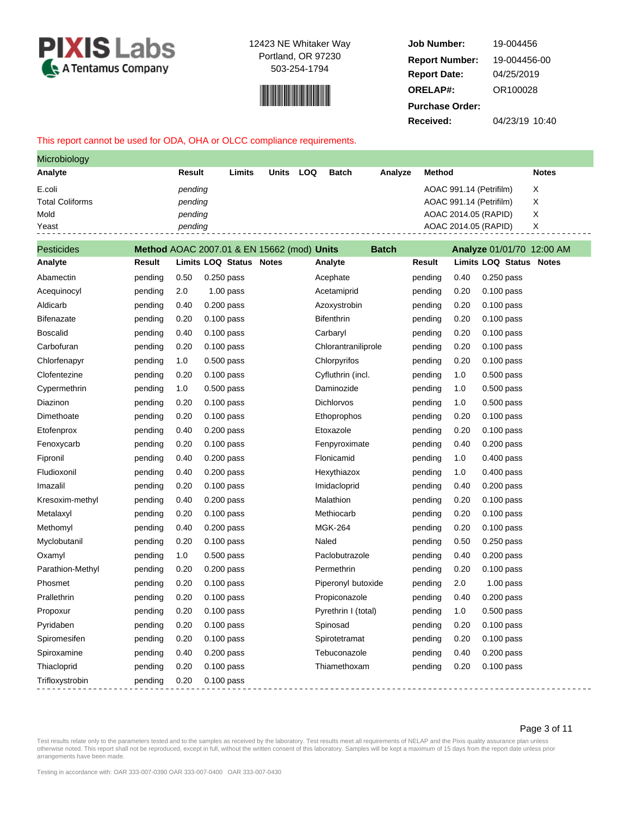



**Job Number: Report Date: ORELAP#:** 04/25/2019 OR100028 **Received:** 04/23/19 10:40 **Purchase Order:** 19-004456 **Report Number:** 19-004456-00

#### This report cannot be used for ODA, OHA or OLCC compliance requirements.

| Microbiology           |               |        |              |            |              |         |                         |              |
|------------------------|---------------|--------|--------------|------------|--------------|---------|-------------------------|--------------|
| Analyte                | <b>Result</b> | Limits | <b>Units</b> | <b>LOQ</b> | <b>Batch</b> | Analyze | Method                  | <b>Notes</b> |
| E.coli                 | pending       |        |              |            |              |         | AOAC 991.14 (Petrifilm) | Х            |
| <b>Total Coliforms</b> | pending       |        |              |            |              |         | AOAC 991.14 (Petrifilm) | X            |
| Mold                   | pending       |        |              |            |              |         | AOAC 2014.05 (RAPID)    | X            |
| Yeast                  | pending       |        |              |            |              |         | AOAC 2014.05 (RAPID)    | X            |

| <b>Pesticides</b> |         |      | Method AOAC 2007.01 & EN 15662 (mod) Units |              | <b>Batch</b>        |         |      | Analyze 01/01/70 12:00 AM                |
|-------------------|---------|------|--------------------------------------------|--------------|---------------------|---------|------|------------------------------------------|
| Analyte           | Result  |      | <b>Limits LOQ Status</b>                   | <b>Notes</b> | Analyte             | Result  |      | <b>Limits LOQ Status</b><br><b>Notes</b> |
| Abamectin         | pending | 0.50 | 0.250 pass                                 |              | Acephate            | pending | 0.40 | $0.250$ pass                             |
| Acequinocyl       | pending | 2.0  | $1.00$ pass                                |              | Acetamiprid         | pending | 0.20 | $0.100$ pass                             |
| Aldicarb          | pending | 0.40 | $0.200$ pass                               |              | Azoxystrobin        | pending | 0.20 | $0.100$ pass                             |
| <b>Bifenazate</b> | pending | 0.20 | $0.100$ pass                               |              | <b>Bifenthrin</b>   | pending | 0.20 | $0.100$ pass                             |
| <b>Boscalid</b>   | pending | 0.40 | $0.100$ pass                               |              | Carbaryl            | pending | 0.20 | $0.100$ pass                             |
| Carbofuran        | pending | 0.20 | $0.100$ pass                               |              | Chlorantraniliprole | pending | 0.20 | $0.100$ pass                             |
| Chlorfenapyr      | pending | 1.0  | $0.500$ pass                               |              | Chlorpyrifos        | pending | 0.20 | $0.100$ pass                             |
| Clofentezine      | pending | 0.20 | $0.100$ pass                               |              | Cyfluthrin (incl.   | pending | 1.0  | $0.500$ pass                             |
| Cypermethrin      | pending | 1.0  | $0.500$ pass                               |              | Daminozide          | pending | 1.0  | $0.500$ pass                             |
| Diazinon          | pending | 0.20 | 0.100 pass                                 |              | Dichlorvos          | pending | 1.0  | 0.500 pass                               |
| Dimethoate        | pending | 0.20 | 0.100 pass                                 |              | Ethoprophos         | pending | 0.20 | 0.100 pass                               |
| Etofenprox        | pending | 0.40 | $0.200$ pass                               |              | Etoxazole           | pending | 0.20 | $0.100$ pass                             |
| Fenoxycarb        | pending | 0.20 | $0.100$ pass                               |              | Fenpyroximate       | pending | 0.40 | $0.200$ pass                             |
| Fipronil          | pending | 0.40 | $0.200$ pass                               |              | Flonicamid          | pending | 1.0  | $0.400$ pass                             |
| Fludioxonil       | pending | 0.40 | $0.200$ pass                               |              | Hexythiazox         | pending | 1.0  | $0.400$ pass                             |
| Imazalil          | pending | 0.20 | 0.100 pass                                 |              | Imidacloprid        | pending | 0.40 | 0.200 pass                               |
| Kresoxim-methyl   | pending | 0.40 | $0.200$ pass                               |              | Malathion           | pending | 0.20 | $0.100$ pass                             |
| Metalaxyl         | pending | 0.20 | $0.100$ pass                               |              | Methiocarb          | pending | 0.20 | $0.100$ pass                             |
| Methomyl          | pending | 0.40 | $0.200$ pass                               |              | <b>MGK-264</b>      | pending | 0.20 | $0.100$ pass                             |
| Myclobutanil      | pending | 0.20 | $0.100$ pass                               |              | Naled               | pending | 0.50 | $0.250$ pass                             |
| Oxamyl            | pending | 1.0  | $0.500$ pass                               |              | Paclobutrazole      | pending | 0.40 | $0.200$ pass                             |
| Parathion-Methyl  | pending | 0.20 | 0.200 pass                                 |              | Permethrin          | pending | 0.20 | 0.100 pass                               |
| Phosmet           | pending | 0.20 | $0.100$ pass                               |              | Piperonyl butoxide  | pending | 2.0  | $1.00$ pass                              |
| Prallethrin       | pending | 0.20 | $0.100$ pass                               |              | Propiconazole       | pending | 0.40 | 0.200 pass                               |
| Propoxur          | pending | 0.20 | $0.100$ pass                               |              | Pyrethrin I (total) | pending | 1.0  | $0.500$ pass                             |
| Pyridaben         | pending | 0.20 | $0.100$ pass                               |              | Spinosad            | pending | 0.20 | $0.100$ pass                             |
| Spiromesifen      | pending | 0.20 | $0.100$ pass                               |              | Spirotetramat       | pending | 0.20 | $0.100$ pass                             |
| Spiroxamine       | pending | 0.40 | 0.200 pass                                 |              | Tebuconazole        | pending | 0.40 | 0.200 pass                               |
| Thiacloprid       | pending | 0.20 | $0.100$ pass                               |              | Thiamethoxam        | pending | 0.20 | $0.100$ pass                             |
| Trifloxystrobin   | pending | 0.20 | $0.100$ pass                               |              |                     |         |      |                                          |
|                   |         |      |                                            |              |                     |         |      |                                          |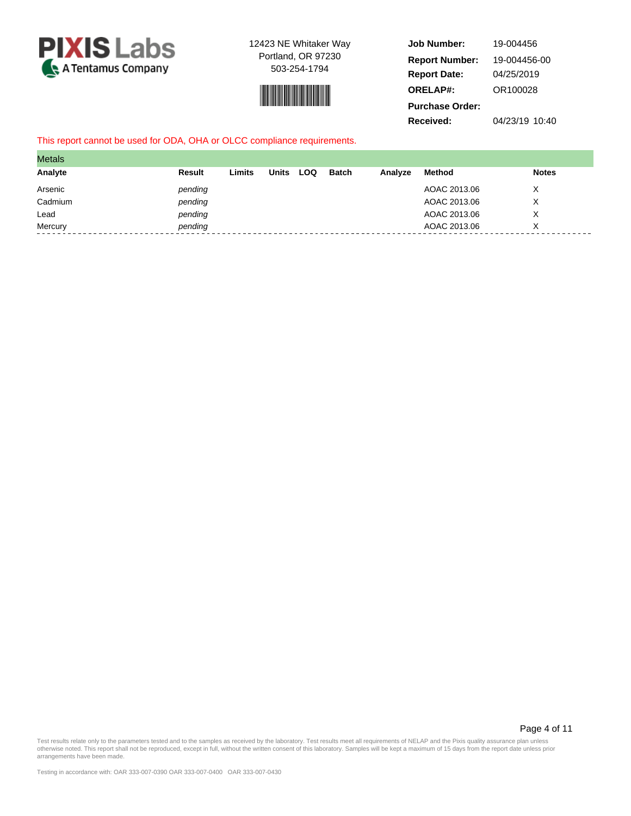



**Job Number: Report Date: ORELAP#:** 04/25/2019 OR100028 **Received:** 04/23/19 10:40 **Purchase Order:** 19-004456 **Report Number:** 19-004456-00

#### This report cannot be used for ODA, OHA or OLCC compliance requirements.

| <b>Metals</b> |         |        |              |     |              |         |              |              |
|---------------|---------|--------|--------------|-----|--------------|---------|--------------|--------------|
| Analyte       | Result  | Limits | <b>Units</b> | LOQ | <b>Batch</b> | Analyze | Method       | <b>Notes</b> |
| Arsenic       | pending |        |              |     |              |         | AOAC 2013.06 |              |
| Cadmium       | pending |        |              |     |              |         | AOAC 2013.06 | v<br>⋏       |
| Lead          | pending |        |              |     |              |         | AOAC 2013.06 | ⋏            |
| Mercury       | pending |        |              |     |              |         | AOAC 2013.06 |              |

Page 4 of 11